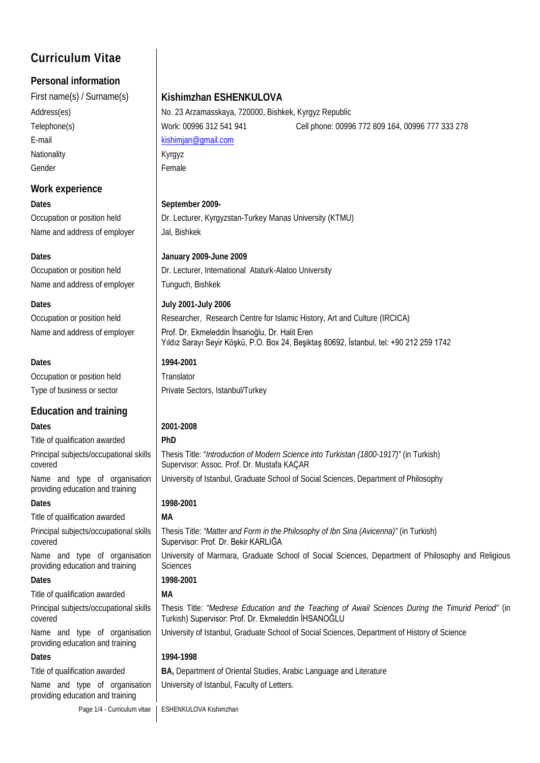# **Curriculum Vitae**

### **Personal information**

E-mail [kishimjan@gmail.com](mailto:kishimjan@gmail.com) Nationality **Nationality** Kyrgyz Gender Female

### **Work experience**

**Dates September 2009-**Name and address of employer Jal, Bishkek

Name and address of employer Tunguch, Bishkek

Occupation or position held Translator

### **Education and training Dates 2001-2008**

Title of qualification awarded **PhD** Principal subjects/occupational skills covered

Name and type of organisation providing education and training **Dates 1998-2001**

Title of qualification awarded **MA**

Principal subjects/occupational skills covered

Name and type of organisation providing education and training **Dates 1998-2001**

Title of qualification awarded **MA**

Principal subjects/occupational skills covered

Name and type of organisation providing education and training

Name and type of organisation providing education and training

### First name(s) / Surname(s) **Kishimzhan ESHENKULOVA**

Address(es) No. 23 Arzamasskaya, 720000, Bishkek, Kyrgyz Republic Telephone(s) Work: 00996 312 541 941 Cell phone: 00996 772 809 164, 00996 777 333 278

Occupation or position held **Dr. Lecturer, Kyrgyzstan-Turkey Manas University (KTMU)** 

### **Dates January 2009-June 2009**

Occupation or position held **Dr.** Lecturer, International Ataturk-Alatoo University

### **Dates July 2001-July 2006**

Occupation or position held **Researcher, Research Centre for Islamic History, Art and Culture (IRCICA)** 

Name and address of employer | Prof. Dr. Ekmeleddin İhsanoğlu, Dr. Halit Eren Yıldız Sarayı Seyir Köşkü, P.O. Box 24, Beşiktaş 80692, İstanbul, tel: +90 212 259 1742

## **Dates 1994-2001**

Type of business or sector Private Sectors, Istanbul/Turkey

Thesis Title: "*Introduction of Modern Science into Turkistan (1800-1917)"* (in Turkish) Supervisor: Assoc. Prof. Dr. Mustafa KAÇAR

University of Istanbul, Graduate School of Social Sciences, Department of Philosophy

Thesis Title: *"Matter and Form in the Philosophy of Ibn Sina (Avicenna)"* (in Turkish) Supervisor: Prof. Dr. Bekir KARLIĞA University of Marmara, Graduate School of Social Sciences, Department of Philosophy and Religious

**Sciences** 

Thesis Title: *"Medrese Education and the Teaching of Awail Sciences During the Timurid Period"* (in Turkish) Supervisor: Prof. Dr. Ekmeleddin İHSANOĞLU

University of Istanbul, Graduate School of Social Sciences, Department of History of Science

### **Dates 1994-1998**

Title of qualification awarded **BA,** Department of Oriental Studies, Arabic Language and Literature

University of Istanbul, Faculty of Letters.

Page 1/4 - Curriculum vitae | ESHENKULOVA Kishimzhan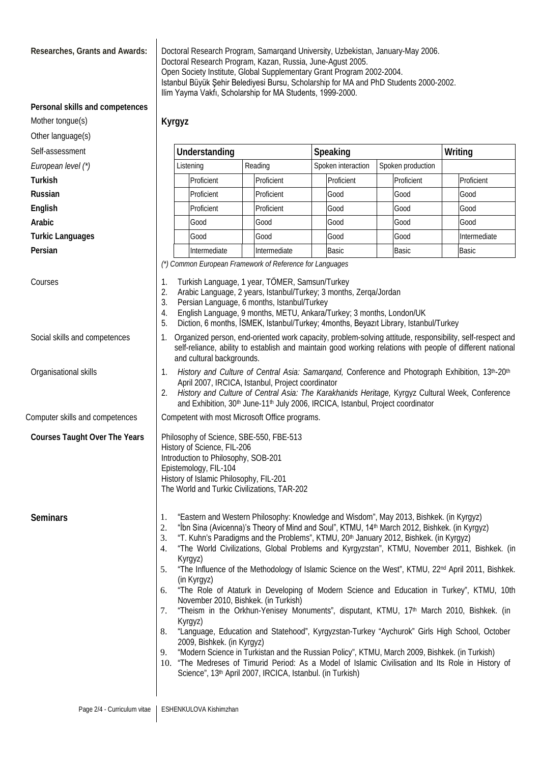**Researches, Grants and Awards:** Doctoral Research Program, Samarqand University, Uzbekistan, January-May 2006. Doctoral Research Program, Kazan, Russia, June-Agust 2005. Open Society Institute, Global Supplementary Grant Program 2002-2004. Istanbul Büyük Şehir Belediyesi Bursu, Scholarship for MA and PhD Students 2000-2002. Ilim Yayma Vakfı, Scholarship for MA Students, 1999-2000.

*(\*) Common European Framework of Reference for Languages*

April 2007, IRCICA, Istanbul, Project coordinator

3. Persian Language, 6 months, Istanbul/Turkey

and cultural backgrounds.

History of Science, FIL-206

Epistemology, FIL-104

Introduction to Philosophy, SOB-201

History of Islamic Philosophy, FIL-201 The World and Turkic Civilizations, TAR-202

2. Arabic Language, 2 years, Istanbul/Turkey; 3 months, Zerqa/Jordan

4. English Language, 9 months, METU, Ankara/Turkey; 3 months, London/UK

5. Diction, 6 months, İSMEK, Istanbul/Turkey; 4months, Beyazıt Library, Istanbul/Turkey

and Exhibition, 30<sup>th</sup> June-11<sup>th</sup> July 2006, IRCICA, Istanbul, Project coordinator

self-reliance, ability to establish and maintain good working relations with people of different national

2. *History and Culture of Central Asia: The Karakhanids Heritage,* Kyrgyz Cultural Week, Conference

### **Personal skills and competences**

Kyrgyz

| Mother tongue(s) |
|------------------|
|------------------|

Other language(s)

Self-assessment **Understanding Speaking Writing**

**European level (\*) Listening** Reading Spoken interaction Spoken production

**Turkish** Proficient | Proficient | Proficient | Proficient | Proficient | Proficient | Proficient

Russian **Proficient Article Cood** (Good Good Good Good

**English** Proficient | Proficient | Good | Good | Good | Good

**Arabic** Good Good Good Good Good

**Turkic Languages** The Intermediate Cood Cood Intermediate Good Intermediate

**Persian Intermediate | Intermediate | Basic | Basic | Basic | Basic** 

Courses 1. Turkish Language, 1 year, TÖMER, Samsun/Turkey

Social skills and competences 1. Organized person, end-oriented work capacity, problem-solving attitude, responsibility, self-respect and

Organisational skills 1. *History and Culture of Central Asia: Samarqand,* Conference and Photograph Exhibition, 13th-20th

Computer skills and competences Competent with most Microsoft Office programs.

**Courses Taught Over The Years | Philosophy of Science, SBE-550, FBE-513** 

- **Seminars** 1. "Eastern and Western Philosophy: Knowledge and Wisdom", May 2013, Bishkek. (in Kyrgyz)<br>2. "İbn Sina (Avicenna)'s Theory of Mind and Soul". KTMU. 14<sup>th</sup> March 2012. Bishkek. (in Kyrgy;
	- 2. "Ibn Sina (Avicenna)'s Theory of Mind and Soul", KTMU, 14<sup>th</sup> March 2012, Bishkek. (in Kyrgyz)<br>3. "T. Kuhn's Paradigms and the Problems". KTMU, 20<sup>th</sup> January 2012, Bishkek. (in Kyrgyz)
	- "T. Kuhn's Paradigms and the Problems", KTMU, 20<sup>th</sup> January 2012, Bishkek. (in Kyrgyz)
	- 4. "The World Civilizations, Global Problems and Kyrgyzstan", KTMU, November 2011, Bishkek. (in Kyrgyz)
	- 5. "The Influence of the Methodology of Islamic Science on the West", KTMU, 22<sup>nd</sup> April 2011, Bishkek. (in Kyrgyz)
	- 6. "The Role of Ataturk in Developing of Modern Science and Education in Turkey", KTMU, 10th November 2010, Bishkek. (in Turkish)
	- 7. "Theism in the Orkhun-Yenisey Monuments", disputant, KTMU, 17<sup>th</sup> March 2010, Bishkek. (in Kyrgyz)
	- 8. "Language, Education and Statehood", Kyrgyzstan-Turkey "Aychurok" Girls High School, October 2009, Bishkek. (in Kyrgyz)
	- 9. "Modern Science in Turkistan and the Russian Policy", KTMU, March 2009, Bishkek. (in Turkish)
	- 10. "The Medreses of Timurid Period: As a Model of Islamic Civilisation and Its Role in History of Science", 13<sup>th</sup> April 2007, IRCICA, Istanbul. (in Turkish)